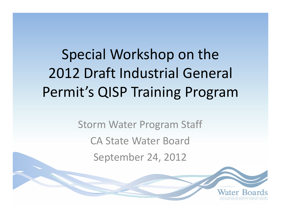Special Workshop on the 2012 Draft Industrial General Permit's QISP Training Program

> Storm Water Program Staff CA State Water Board September 24, 2012

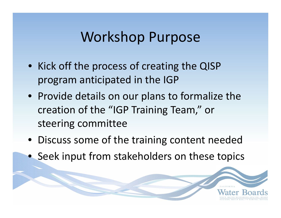#### Workshop Purpose

- Kick off the process of creating the QISP program anticipated in the IGP
- Provide details on our plans to formalize the creation of the "IGP Training Team," or steering committee
- Discuss some of the training content needed
- Seek input from stakeholders on these topics

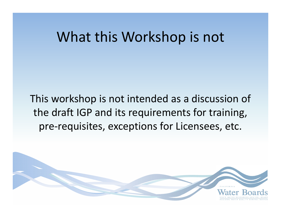#### What this Workshop is not

This workshop is not intended as <sup>a</sup> discussion of the draft IGP and its requirements for training, pre‐requisites, exceptions for Licensees, etc.

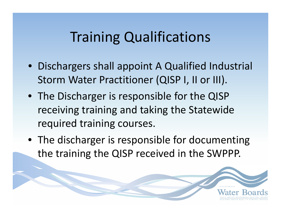## Training Qualifications

- Dischargers shall appoint A Qualified Industrial Storm Water Practitioner (QISP I, II or III).
- The Discharger is responsible for the QISP receiving training and taking the Statewide required training courses.
- The discharger is responsible for documenting the training the QISP received in the SWPPP.

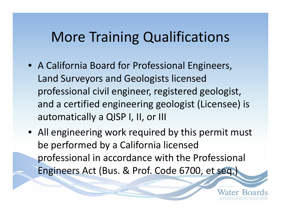#### More Training Qualifications

- A California Board for Professional Engineers, Land Surveyors and Geologists licensed professional civil engineer, registered geologist, and <sup>a</sup> certified engineering geologist (Licensee) is automatically <sup>a</sup> QISP I, II, or III
- All engineering work required by this permit must be performed by <sup>a</sup> California licensed professional in accordance with the Professional Engineers Act (Bus. & Prof. Code 6700, et seq.)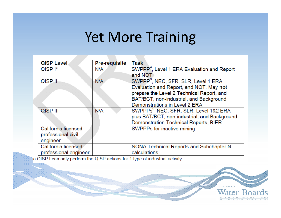#### Yet More Training

| <b>QISP Level</b>     | <b>Pre-requisite</b> | <b>Task</b>                                            |
|-----------------------|----------------------|--------------------------------------------------------|
| QISP <sup>I*</sup>    | N/A                  | SWPPP <sup>4</sup> , Level 1 ERA Evaluation and Report |
|                       |                      | and NOT                                                |
| $QISP$ $  $           | N/A                  | SWPPP <sup>9</sup> , NEC, SFR, SLR, Level 1 ERA        |
|                       |                      | Evaluation and Report, and NOT. May not                |
|                       |                      | prepare the Level 2 Technical Report, and              |
|                       |                      | BAT/BCT, non-industrial, and Background                |
|                       |                      | Demonstrations in Level 2 ERA                          |
| QISP III              | N/A                  | SWPPPs <sup>9</sup> NEC, SFR, SLR, Level 1&2 ERA       |
|                       |                      | plus BAT/BCT, non-industrial, and Background           |
|                       |                      | Demonstration Technical Reports, BIER                  |
| California licensed   |                      | SWPPPs for inactive mining                             |
| professional civil    |                      |                                                        |
| engineer              |                      |                                                        |
| California licensed   |                      | NONA Technical Reports and Subchapter N                |
| professional engineer |                      | calculations                                           |

a QISP I can only perform the QISP actions for 1 type of industrial activity

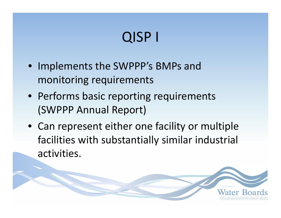# QISP I

- Implements the SWPPP's BMPs and monitoring requirements
- Performs basic reporting requirements (SWPPP Annual Report)
- Can represent either one facility or multiple facilities with substantially similar industrial activities.

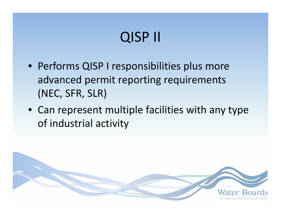# QISP II

- Performs QISP I responsibilities plus more advanced permit reporting requirements (NEC, SFR, SLR)
- Can represent multiple facilities with any type of industrial activity

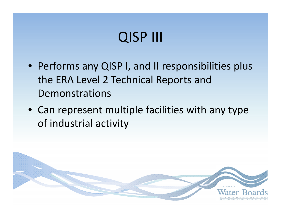## QISP III

- Performs any QISP I, and II responsibilities plus the ERA Level 2 Technical Reports and Demonstrations
- Can represent multiple facilities with any type of industrial activity

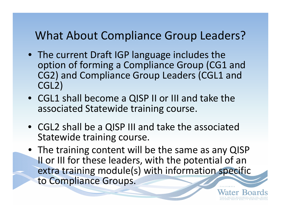#### What About Compliance Group Leaders?

- The current Draft IGP language includes the option of forming <sup>a</sup> Compliance Group (CG1 and CG2) and Compliance Group Leaders (CGL1 and CGL2)
- CGL1 shall become <sup>a</sup> QISP II or III and take the associated Statewide training course.
- CGL2 shall be <sup>a</sup> QISP III and take the associated Statewide training course.
- The training content will be the same as any QISP II or III for these leaders, with the potential of an extra training module(s) with information specific to Compliance Groups.

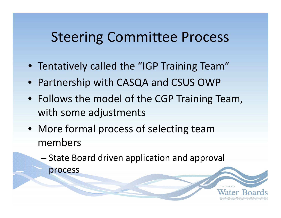## Steering Committee Process

- Tentatively called the "IGP Training Team"
- Partnership with CASQA and CSUS OWP
- Follows the model of the CGP Training Team, with some adjustments
- More formal process of selecting team members
	- – $-$  State Board driven application and approval process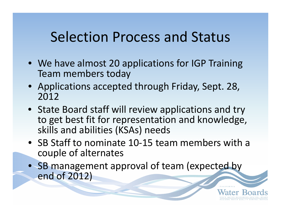## Selection Process and Status

- We have almost 20 applications for IGP Training Team members today
- Applications accepted through Friday, Sept. 28, 2012
- State Board staff will review applications and try to get best fit for representation and knowledge, skills and abilities (KSAs) needs
- SB Staff to nominate 10‐15 team members with <sup>a</sup> couple of alternates
- SB management approval of team (expected by end of 2012)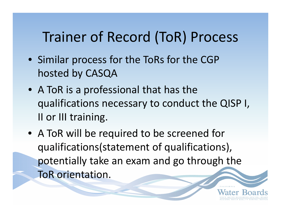## Trainer of Record (ToR) Process

- Similar process for the ToRs for the CGP hosted by CASQA
- A ToR is <sup>a</sup> professional that has the qualifications necessary to conduct the QISP I, II or III training.
- A ToR will be required to be screened for qualifications(statement of qualifications), potentially take an exam and go through the ToR orientation.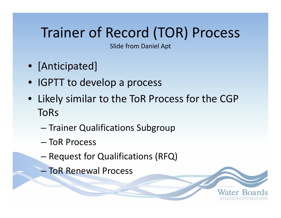## Trainer of Record (TOR) Process

Slide from Daniel Apt

- [Anticipated]
- IGPTT to develop <sup>a</sup> process
- Likely similar to the ToR Process for the CGP ToRs
	- –— Trainer Qualifications Subgroup
	- ToR Process
	- – $-$  Request for Qualifications (RFQ)
	- ToR Renewal Process

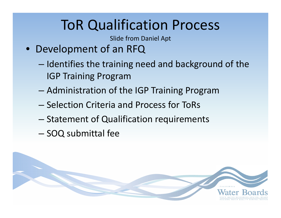# ToR Qualification Process

Slide from Daniel Apt

- Development of an RFQ
	- –– Identifies the training need and background of the IGP Training Program
	- –Administration of the IGP Training Program
	- Selection Criteria and Process for ToRs
	- – $-$  Statement of Qualification requirements
	- – $-$  SOQ submittal fee

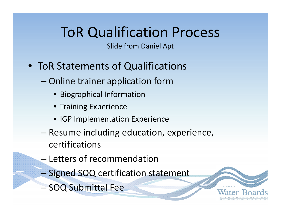## ToR Qualification Process

Slide from Daniel Apt

- ToR Statements of Qualifications
	- – Online trainer application form
		- Biographical Information
		- Training Experience
		- IGP Implementation Experience
	- – Resume including education, experience, certifications
	- Letters of recommendation
	- **Signed SOQ certification statement**
	- –- SOQ Submittal Fee

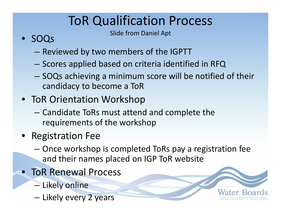## ToR Qualification Process

- **SIDE SOOC** Slide from Daniel Apt
- SOQs
	- – $-$  Reviewed by two members of the IGPTT
	- – $-$  Scores applied based on criteria identified in RFQ
	- – SOQs achieving <sup>a</sup> minimum score will be notified of their candidacy to become <sup>a</sup> ToR
- ToR Orientation Workshop
	- – Candidate ToRs must attend and complete the requirements of the workshop
- Registration Fee
	- – Once workshop is completed ToRs pay <sup>a</sup> registration fee and their names placed on IGP ToR website
- ToR Renewal Process
	- –— Likely online
	- –– Likely every 2 years